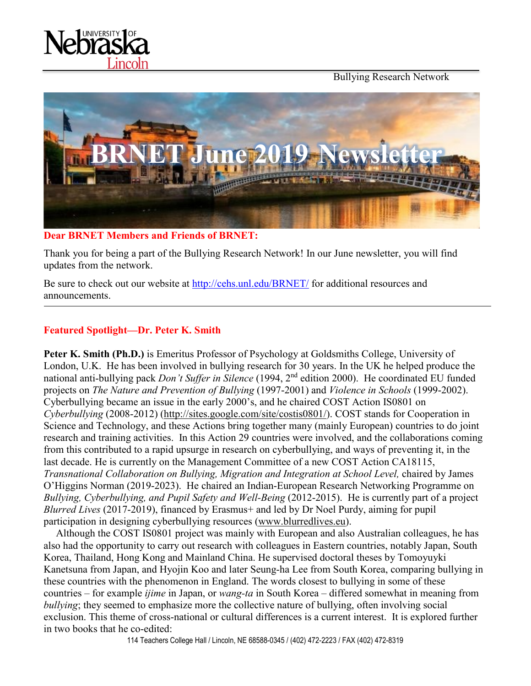Bullying Research Network





#### **Dear BRNET Members and Friends of BRNET:**

Thank you for being a part of the Bullying Research Network! In our June newsletter, you will find updates from the network.

Be sure to check out our website at<http://cehs.unl.edu/BRNET/> for additional resources and announcements.

### **Featured Spotlight—Dr. Peter K. Smith**

**Peter K. Smith (Ph.D.)** is Emeritus Professor of Psychology at Goldsmiths College, University of London, U.K. He has been involved in bullying research for 30 years. In the UK he helped produce the national anti-bullying pack *Don't Suffer in Silence* (1994, 2nd edition 2000). He coordinated EU funded projects on *The Nature and Prevention of Bullying* (1997-2001) and *Violence in Schools* (1999-2002). Cyberbullying became an issue in the early 2000's, and he chaired COST Action IS0801 on *Cyberbullying* (2008-2012) [\(http://sites.google.com/site/costis0801/\)](http://sites.google.com/site/costis0801/). COST stands for Cooperation in Science and Technology, and these Actions bring together many (mainly European) countries to do joint research and training activities. In this Action 29 countries were involved, and the collaborations coming from this contributed to a rapid upsurge in research on cyberbullying, and ways of preventing it, in the last decade. He is currently on the Management Committee of a new COST Action CA18115, *Transnational Collaboration on Bullying, Migration and Integration at School Level,* chaired by James O'Higgins Norman (2019-2023). He chaired an Indian-European Research Networking Programme on *Bullying, Cyberbullying, and Pupil Safety and Well-Being* (2012-2015). He is currently part of a project *Blurred Lives* (2017-2019), financed by Erasmus+ and led by Dr Noel Purdy, aiming for pupil participation in designing cyberbullying resources [\(www.blurredlives.eu\)](http://www.blurredlives.eu/).

Although the COST IS0801 project was mainly with European and also Australian colleagues, he has also had the opportunity to carry out research with colleagues in Eastern countries, notably Japan, South Korea, Thailand, Hong Kong and Mainland China. He supervised doctoral theses by Tomoyuyki Kanetsuna from Japan, and Hyojin Koo and later Seung-ha Lee from South Korea, comparing bullying in these countries with the phenomenon in England. The words closest to bullying in some of these countries – for example *ijime* in Japan, or *wang-ta* in South Korea – differed somewhat in meaning from *bullying*; they seemed to emphasize more the collective nature of bullying, often involving social exclusion. This theme of cross-national or cultural differences is a current interest. It is explored further in two books that he co-edited:

114 Teachers College Hall / Lincoln, NE 68588-0345 / (402) 472-2223 / FAX (402) 472-8319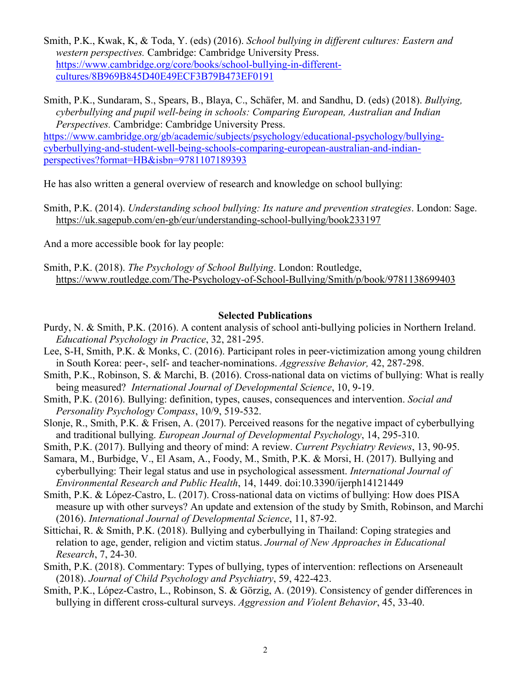Smith, P.K., Kwak, K, & Toda, Y. (eds) (2016). *School bullying in different cultures: Eastern and western perspectives.* Cambridge: Cambridge University Press. [https://www.cambridge.org/core/books/school-bullying-in-different](https://www.cambridge.org/core/books/school-bullying-in-different-cultures/8B969B845D40E49ECF3B79B473EF0191)[cultures/8B969B845D40E49ECF3B79B473EF0191](https://www.cambridge.org/core/books/school-bullying-in-different-cultures/8B969B845D40E49ECF3B79B473EF0191)

Smith, P.K., Sundaram, S., Spears, B., Blaya, C., Schäfer, M. and Sandhu, D. (eds) (2018). *Bullying, cyberbullying and pupil well-being in schools: Comparing European, Australian and Indian Perspectives.* Cambridge: Cambridge University Press. [https://www.cambridge.org/gb/academic/subjects/psychology/educational-psychology/bullying](https://www.cambridge.org/gb/academic/subjects/psychology/educational-psychology/bullying-cyberbullying-and-student-well-being-schools-comparing-european-australian-and-indian-perspectives?format=HB&isbn=9781107189393)[cyberbullying-and-student-well-being-schools-comparing-european-australian-and-indian](https://www.cambridge.org/gb/academic/subjects/psychology/educational-psychology/bullying-cyberbullying-and-student-well-being-schools-comparing-european-australian-and-indian-perspectives?format=HB&isbn=9781107189393)[perspectives?format=HB&isbn=9781107189393](https://www.cambridge.org/gb/academic/subjects/psychology/educational-psychology/bullying-cyberbullying-and-student-well-being-schools-comparing-european-australian-and-indian-perspectives?format=HB&isbn=9781107189393)

He has also written a general overview of research and knowledge on school bullying:

Smith, P.K. (2014). *Understanding school bullying: Its nature and prevention strategies*. London: Sage. <https://uk.sagepub.com/en-gb/eur/understanding-school-bullying/book233197>

And a more accessible book for lay people:

Smith, P.K. (2018). *The Psychology of School Bullying*. London: Routledge, <https://www.routledge.com/The-Psychology-of-School-Bullying/Smith/p/book/9781138699403>

#### **Selected Publications**

- Purdy, N. & Smith, P.K. (2016). A content analysis of school anti-bullying policies in Northern Ireland. *Educational Psychology in Practice*, 32, 281-295.
- Lee, S-H, Smith, P.K. & Monks, C. (2016). Participant roles in peer-victimization among young children in South Korea: peer-, self- and teacher-nominations. *Aggressive Behavior,* 42, 287-298.
- Smith, P.K., Robinson, S. & Marchi, B. (2016). Cross-national data on victims of bullying: What is really being measured? *International Journal of Developmental Science*, 10, 9-19.
- Smith, P.K. (2016). Bullying: definition, types, causes, consequences and intervention. *Social and Personality Psychology Compass*, 10/9, 519-532.
- Slonje, R., Smith, P.K. & Frisen, A. (2017). Perceived reasons for the negative impact of cyberbullying and traditional bullying. *European Journal of Developmental Psychology*, 14, 295-310.

Smith, P.K. (2017). Bullying and theory of mind: A review. *Current Psychiatry Reviews*, 13, 90-95.

Samara, M., Burbidge, V., El Asam, A., Foody, M., Smith, P.K. & Morsi, H. (2017). Bullying and cyberbullying: Their legal status and use in psychological assessment. *International Journal of Environmental Research and Public Health*, 14, 1449. doi:10.3390/ijerph14121449

- Smith, P.K. & López-Castro, L. (2017). Cross-national data on victims of bullying: How does PISA measure up with other surveys? An update and extension of the study by Smith, Robinson, and Marchi (2016). *International Journal of Developmental Science*, 11, 87-92.
- Sittichai, R. & Smith, P.K. (2018). Bullying and cyberbullying in Thailand: Coping strategies and relation to age, gender, religion and victim status. *Journal of New Approaches in Educational Research*, 7, 24-30.
- Smith, P.K. (2018). Commentary: Types of bullying, types of intervention: reflections on Arseneault (2018). *Journal of Child Psychology and Psychiatry*, 59, 422-423.
- Smith, P.K., López-Castro, L., Robinson, S. & Görzig, A. (2019). Consistency of gender differences in bullying in different cross-cultural surveys. *Aggression and Violent Behavior*, 45, 33-40.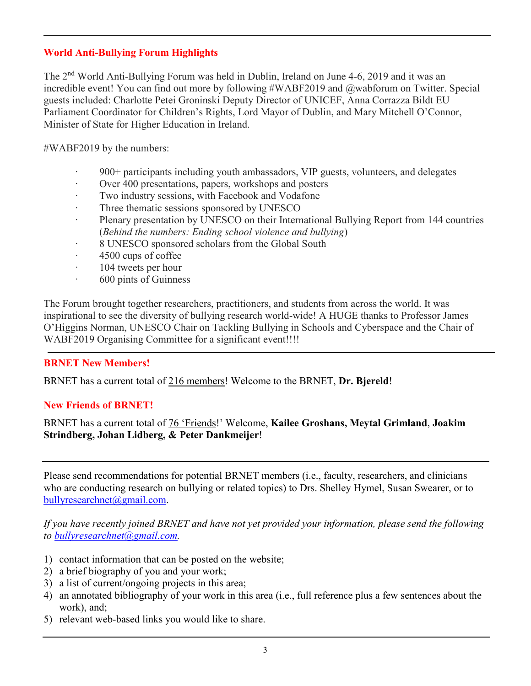## **World Anti-Bullying Forum Highlights**

The 2nd World Anti-Bullying Forum was held in Dublin, Ireland on June 4-6, 2019 and it was an incredible event! You can find out more by following #WABF2019 and @wabforum on Twitter. Special guests included: Charlotte Petei Groninski Deputy Director of UNICEF, Anna Corrazza Bildt EU Parliament Coordinator for Children's Rights, Lord Mayor of Dublin, and Mary Mitchell O'Connor, Minister of State for Higher Education in Ireland.

#WABF2019 by the numbers:

- · 900+ participants including youth ambassadors, VIP guests, volunteers, and delegates
- Over 400 presentations, papers, workshops and posters
- Two industry sessions, with Facebook and Vodafone
- Three thematic sessions sponsored by UNESCO
- Plenary presentation by UNESCO on their International Bullying Report from 144 countries (*Behind the numbers: Ending school violence and bullying*)
- 8 UNESCO sponsored scholars from the Global South
- · 4500 cups of coffee
- · 104 tweets per hour
- · 600 pints of Guinness

The Forum brought together researchers, practitioners, and students from across the world. It was inspirational to see the diversity of bullying research world-wide! A HUGE thanks to Professor James O'Higgins Norman, UNESCO Chair on Tackling Bullying in Schools and Cyberspace and the Chair of WABF2019 Organising Committee for a significant event!!!!

### **BRNET New Members!**

BRNET has a current total of 216 members! Welcome to the BRNET, **Dr. Bjereld**!

### **New Friends of BRNET!**

BRNET has a current total of 76 'Friends!' Welcome, **Kailee Groshans, Meytal Grimland**, **Joakim Strindberg, Johan Lidberg, & Peter Dankmeijer**!

Please send recommendations for potential BRNET members (i.e., faculty, researchers, and clinicians who are conducting research on bullying or related topics) to Drs. Shelley Hymel, Susan Swearer, or to [bullyresearchnet@gmail.com.](mailto:bullyresearchnet@gmail.com)

*If you have recently joined BRNET and have not yet provided your information, please send the following to [bullyresearchnet@gmail.com.](mailto:bullyresearchnet@gmail.com)*

- 1) contact information that can be posted on the website;
- 2) a brief biography of you and your work;
- 3) a list of current/ongoing projects in this area;
- 4) an annotated bibliography of your work in this area (i.e., full reference plus a few sentences about the work), and;
- 5) relevant web-based links you would like to share.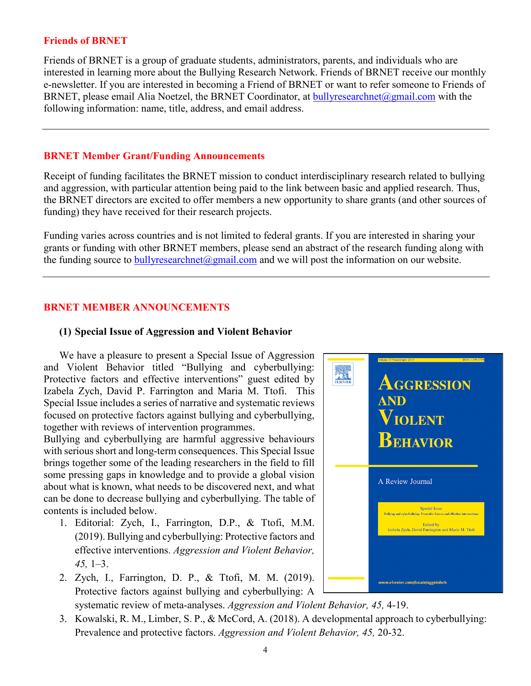#### **Friends of BRNET**

Friends of BRNET is a group of graduate students, administrators, parents, and individuals who are interested in learning more about the Bullying Research Network. Friends of BRNET receive our monthly e-newsletter. If you are interested in becoming a Friend of BRNET or want to refer someone to Friends of BRNET, please email Alia Noetzel, the BRNET Coordinator, at [bullyresearchnet@gmail.com](mailto:bullyresearchnet@gmail.com) with the following information: name, title, address, and email address.

#### **BRNET Member Grant/Funding Announcements**

Receipt of funding facilitates the BRNET mission to conduct interdisciplinary research related to bullying and aggression, with particular attention being paid to the link between basic and applied research. Thus, the BRNET directors are excited to offer members a new opportunity to share grants (and other sources of funding) they have received for their research projects.

Funding varies across countries and is not limited to federal grants. If you are interested in sharing your grants or funding with other BRNET members, please send an abstract of the research funding along with the funding source to  $\frac{\text{bulk}}{\text{presented}}$  mail.com and we will post the information on our website.

### **BRNET MEMBER ANNOUNCEMENTS**

### **(1) Special Issue of Aggression and Violent Behavior**

We have a pleasure to present a Special Issue of Aggression and Violent Behavior titled "Bullying and cyberbullying: Protective factors and effective interventions" guest edited by Izabela Zych, David P. Farrington and Maria M. Ttofi. This Special Issue includes a series of narrative and systematic reviews focused on protective factors against bullying and cyberbullying, together with reviews of intervention programmes.

Bullying and cyberbullying are harmful aggressive behaviours with serious short and long-term consequences. This Special Issue brings together some of the leading researchers in the field to fill some pressing gaps in knowledge and to provide a global vision about what is known, what needs to be discovered next, and what can be done to decrease bullying and cyberbullying. The table of contents is included below.

- 1. Editorial: Zych, I., Farrington, D.P., & Ttofi, M.M. (2019). Bullying and cyberbullying: Protective factors and effective interventions. *Aggression and Violent Behavior, 45,* 1–3.
- 2. Zych, I., Farrington, D. P., & Ttofi, M. M. (2019). Protective factors against bullying and cyberbullying: A systematic review of meta-analyses. *Aggression and Violent Behavior, 45,* 4-19.



3. Kowalski, R. M., Limber, S. P., & McCord, A. (2018). A developmental approach to cyberbullying: Prevalence and protective factors. *Aggression and Violent Behavior, 45,* 20-32.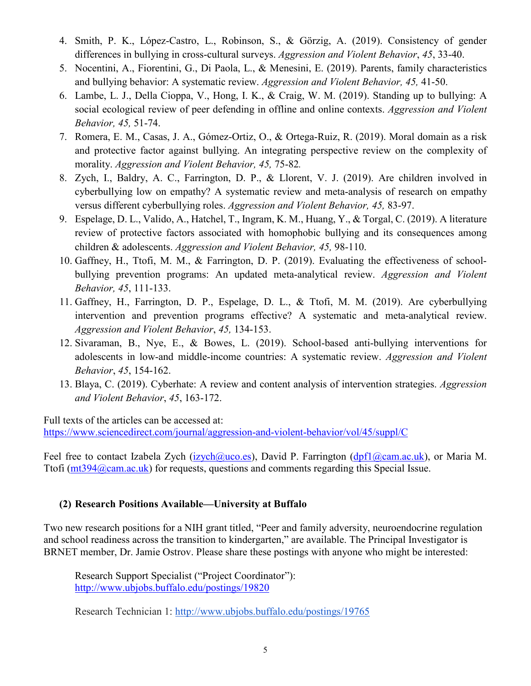- 4. Smith, P. K., López-Castro, L., Robinson, S., & Görzig, A. (2019). Consistency of gender differences in bullying in cross-cultural surveys. *Aggression and Violent Behavior*, *45*, 33-40.
- 5. Nocentini, A., Fiorentini, G., Di Paola, L., & Menesini, E. (2019). Parents, family characteristics and bullying behavior: A systematic review. *Aggression and Violent Behavior, 45,* 41-50.
- 6. Lambe, L. J., Della Cioppa, V., Hong, I. K., & Craig, W. M. (2019). Standing up to bullying: A social ecological review of peer defending in offline and online contexts. *Aggression and Violent Behavior, 45,* 51-74.
- 7. Romera, E. M., Casas, J. A., Gómez-Ortiz, O., & Ortega-Ruiz, R. (2019). Moral domain as a risk and protective factor against bullying. An integrating perspective review on the complexity of morality. *Aggression and Violent Behavior, 45,* 75-82*.*
- 8. Zych, I., Baldry, A. C., Farrington, D. P., & Llorent, V. J. (2019). Are children involved in cyberbullying low on empathy? A systematic review and meta-analysis of research on empathy versus different cyberbullying roles. *Aggression and Violent Behavior, 45,* 83-97.
- 9. Espelage, D. L., Valido, A., Hatchel, T., Ingram, K. M., Huang, Y., & Torgal, C. (2019). A literature review of protective factors associated with homophobic bullying and its consequences among children & adolescents. *Aggression and Violent Behavior, 45,* 98-110.
- 10. Gaffney, H., Ttofi, M. M., & Farrington, D. P. (2019). Evaluating the effectiveness of schoolbullying prevention programs: An updated meta-analytical review. *Aggression and Violent Behavior, 45*, 111-133.
- 11. Gaffney, H., Farrington, D. P., Espelage, D. L., & Ttofi, M. M. (2019). Are cyberbullying intervention and prevention programs effective? A systematic and meta-analytical review. *Aggression and Violent Behavior*, *45,* 134-153.
- 12. Sivaraman, B., Nye, E., & Bowes, L. (2019). School-based anti-bullying interventions for adolescents in low-and middle-income countries: A systematic review. *Aggression and Violent Behavior*, *45*, 154-162.
- 13. Blaya, C. (2019). Cyberhate: A review and content analysis of intervention strategies. *Aggression and Violent Behavior*, *45*, 163-172.

Full texts of the articles can be accessed at: <https://www.sciencedirect.com/journal/aggression-and-violent-behavior/vol/45/suppl/C>

Feel free to contact Izabela Zych [\(izych@uco.es\)](mailto:izych@uco.es), David P. Farrington [\(dpf1@cam.ac.uk\)](mailto:dpf1@cam.ac.uk), or Maria M. Ttofi [\(mt394@cam.ac.uk\)](mailto:mt394@cam.ac.uk) for requests, questions and comments regarding this Special Issue.

## **(2) Research Positions Available—University at Buffalo**

Two new research positions for a NIH grant titled, "Peer and family adversity, neuroendocrine regulation and school readiness across the transition to kindergarten," are available. The Principal Investigator is BRNET member, Dr. Jamie Ostrov. Please share these postings with anyone who might be interested:

Research Support Specialist ("Project Coordinator"): <http://www.ubjobs.buffalo.edu/postings/19820>

Research Technician 1: [http://www.ubjobs.buffalo.edu/postings/19765](https://urldefense.proofpoint.com/v2/url?u=http-3A__www.ubjobs.buffalo.edu_postings_19765&d=DwMGaQ&c=Cu5g146wZdoqVuKpTNsYHeFX_rg6kWhlkLF8Eft-wwo&r=cXoPjE5bhAYAw7UpUbU1OVNKQBjHq0uZTOrbgqFBDIg&m=UTbG9Es-9i_v-fwLc0AYdsEZpEgq_UW8Kc0apkPCRXw&s=e_K7JH6nzc5MtkDTnYyQ9Djitdvzm12UoqfPHoeKnhI&e=)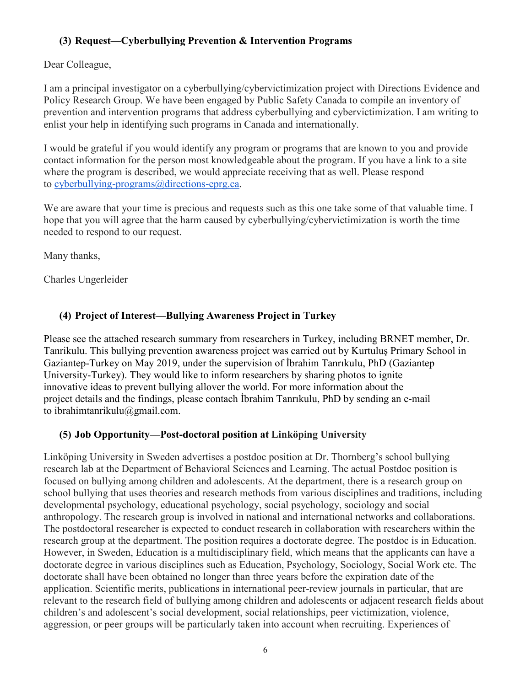## **(3) Request—Cyberbullying Prevention & Intervention Programs**

Dear Colleague,

I am a principal investigator on a cyberbullying/cybervictimization project with Directions Evidence and Policy Research Group. We have been engaged by Public Safety Canada to compile an inventory of prevention and intervention programs that address cyberbullying and cybervictimization. I am writing to enlist your help in identifying such programs in Canada and internationally.

I would be grateful if you would identify any program or programs that are known to you and provide contact information for the person most knowledgeable about the program. If you have a link to a site where the program is described, we would appreciate receiving that as well. Please respond to [cyberbullying-programs@directions-eprg.ca.](mailto:cyberbullying-programs@directions-eprg.ca)

We are aware that your time is precious and requests such as this one take some of that valuable time. I hope that you will agree that the harm caused by cyberbullying/cybervictimization is worth the time needed to respond to our request.

Many thanks,

Charles Ungerleider

# **(4) Project of Interest—Bullying Awareness Project in Turkey**

Please see the attached research summary from researchers in Turkey, including BRNET member, Dr. Tanrikulu. This bullying prevention awareness project was carried out by Kurtuluş Primary School in Gaziantep-Turkey on May 2019, under the supervision of İbrahim Tanrıkulu, PhD (Gaziantep University-Turkey). They would like to inform researchers by sharing photos to ignite innovative ideas to prevent bullying allover the world. For more information about the project details and the findings, please contach İbrahim Tanrıkulu, PhD by sending an e-mail to ibrahimtanrikulu@gmail.com.

## **(5) Job Opportunity—Post-doctoral position at Linköping University**

Linköping University in Sweden advertises a postdoc position at Dr. Thornberg's school bullying research lab at the Department of Behavioral Sciences and Learning. The actual Postdoc position is focused on bullying among children and adolescents. At the department, there is a research group on school bullying that uses theories and research methods from various disciplines and traditions, including developmental psychology, educational psychology, social psychology, sociology and social anthropology. The research group is involved in national and international networks and collaborations. The postdoctoral researcher is expected to conduct research in collaboration with researchers within the research group at the department. The position requires a doctorate degree. The postdoc is in Education. However, in Sweden, Education is a multidisciplinary field, which means that the applicants can have a doctorate degree in various disciplines such as Education, Psychology, Sociology, Social Work etc. The doctorate shall have been obtained no longer than three years before the expiration date of the application. Scientific merits, publications in international peer-review journals in particular, that are relevant to the research field of bullying among children and adolescents or adjacent research fields about children's and adolescent's social development, social relationships, peer victimization, violence, aggression, or peer groups will be particularly taken into account when recruiting. Experiences of